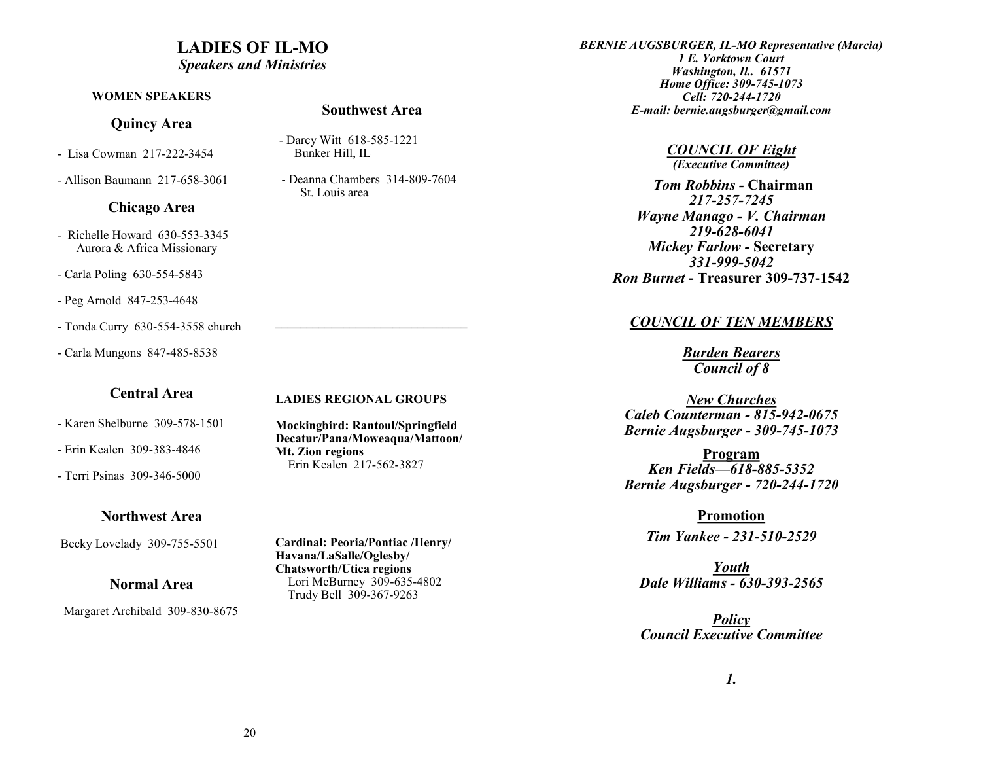# **LADIES OF IL-MO**

### *Speakers and Ministries*

#### **WOMEN SPEAKERS**

### **Quincy Area**

- Lisa Cowman 217-222-3454

- Allison Baumann 217-658-3061

**Chicago Area**

# **Southwest Area**

- Darcy Witt 618-585-1221 Bunker Hill, IL
	- Deanna Chambers 314-809-7604 St. Louis area

 - Richelle Howard 630-553-3345 Aurora & Africa Missionary

- Carla Poling 630-554-5843
- Peg Arnold 847-253-4648
- Tonda Curry 630-554-3558 church
- Carla Mungons 847-485-8538

## **Central Area**

#### **LADIES REGIONAL GROUPS**

- Karen Shelburne 309-578-1501
- Erin Kealen 309-383-4846
- Terri Psinas 309-346-5000

## **Northwest Area**

Becky Lovelady 309-755-5501

### **Normal Area**

Margaret Archibald 309-830-8675

**Mockingbird: Rantoul/Springfield Decatur/Pana/Moweaqua/Mattoon/ Mt. Zion regions**  Erin Kealen 217-562-3827

**Cardinal: Peoria/Pontiac /Henry/ Havana/LaSalle/Oglesby/ Chatsworth/Utica regions** Lori McBurney 309-635-4802 Trudy Bell 309-367-9263

*BERNIE AUGSBURGER, IL-MO Representative (Marcia) 1 E. Yorktown Court Washington, Il.. 61571 Home Office: 309-745-1073 Cell: 720-244-1720 E-mail: bernie.augsburger@gmail.com*

> *COUNCIL OF Eight (Executive Committee)*

*Tom Robbins -* **Chairman** *217-257-7245 Wayne Manago - V. Chairman 219-628-6041 Mickey Farlow -* **Secretary** *331-999-5042 Ron Burnet* **- Treasurer 309-737-1542**

### *COUNCIL OF TEN MEMBERS*

*Burden Bearers Council of 8*

*New Churches Caleb Counterman - 815-942-0675 Bernie Augsburger - 309-745-1073*

**Program** *Ken Fields—618-885-5352 Bernie Augsburger - 720-244-1720*

> **Promotion** *Tim Yankee - 231-510-2529*

*Youth Dale Williams - 630-393-2565*

*Policy Council Executive Committee*

*1.*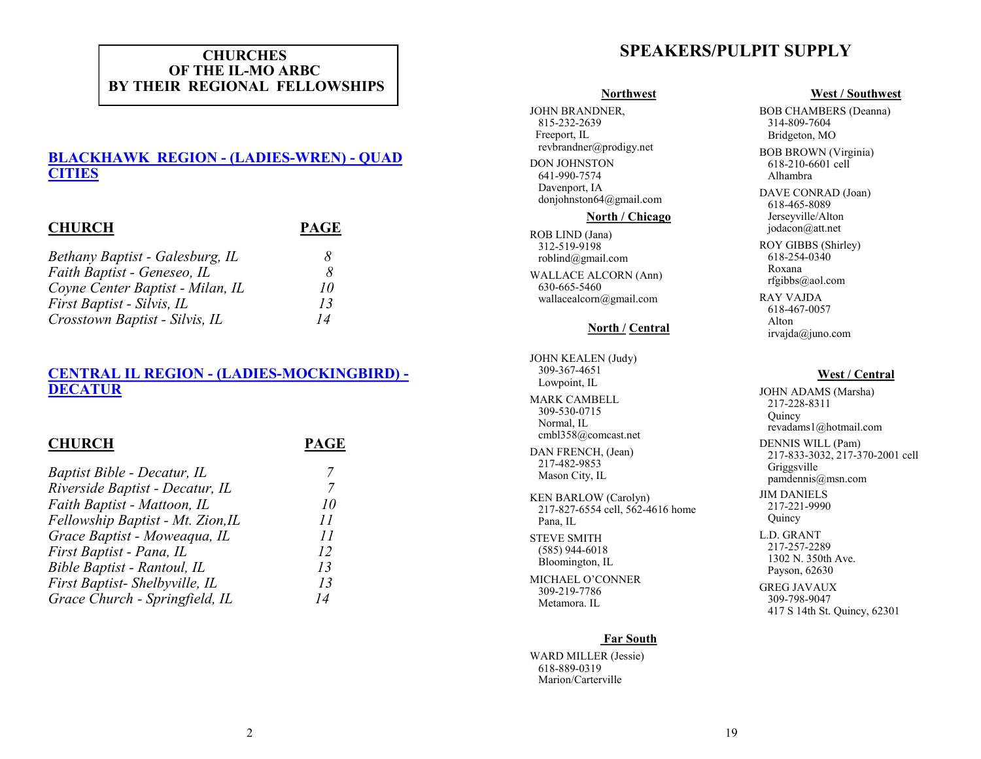## **CHURCHES OF THE IL-MO ARBC BY THEIR REGIONAL FELLOWSHIPS**

### **BLACKHAWK REGION - (LADIES-WREN) - QUAD CITIES**

| <b>CHURCH</b>                    | <b>PAGE</b> |
|----------------------------------|-------------|
| Bethany Baptist - Galesburg, IL  | 8           |
| Faith Baptist - Geneseo, IL      | 8           |
| Coyne Center Baptist - Milan, IL | 10          |
| First Baptist - Silvis, IL       | 13          |
| Crosstown Baptist - Silvis, IL   | 14          |

## **CENTRAL IL REGION - (LADIES-MOCKINGBIRD) - DECATUR**

## **CHURCH PAGE**

| ٠<br>٠ | e v |
|--------|-----|
|        |     |

| Baptist Bible - Decatur, IL       |                |
|-----------------------------------|----------------|
| Riverside Baptist - Decatur, IL   |                |
| Faith Baptist - Mattoon, IL       | 10             |
| Fellowship Baptist - Mt. Zion, IL | $\prime\prime$ |
| Grace Baptist - Moweaqua, IL      | 11             |
| First Baptist - Pana, IL          | 12             |
| Bible Baptist - Rantoul, IL       | 13             |
| First Baptist- Shelbyville, IL    | 13             |
| Grace Church - Springfield, IL    | 14             |
|                                   |                |

# **SPEAKERS/PULPIT SUPPLY**

#### **Northwest**

JOHN BRANDNER, 815-232-2639 Freeport, IL revbrandner@prodigy.net DON JOHNSTON 641-990-7574 Davenport, IA donjohnston64@gmail.com

#### **North / Chicago**

ROB LIND (Jana) 312-519-9198 roblind@gmail.com

WALLACE ALCORN (Ann) 630-665-5460 wallacealcorn@gmail.com

#### **North / Central**

JOHN KEALEN (Judy) 309-367-4651 Lowpoint, IL

MARK CAMBELL 309-530-0715 Normal, IL cmbl358@comcast.net

DAN FRENCH, (Jean) 217-482-9853 Mason City, IL

KEN BARLOW (Carolyn) 217-827-6554 cell, 562-4616 home Pana, IL

STEVE SMITH (585) 944-6018 Bloomington, IL

MICHAEL O'CONNER 309-219-7786 Metamora. IL

#### **Far South**

WARD MILLER (Jessie) 618-889-0319 Marion/Carterville

#### **West / Southwest**

BOB CHAMBERS (Deanna) 314-809-7604 Bridgeton, MO

BOB BROWN (Virginia) 618-210-6601 cell Alhambra

DAVE CONRAD (Joan) 618-465-8089 Jerseyville/Alton jodacon@att.net

ROY GIBBS (Shirley) 618-254-0340 Roxana rfgibbs@aol.com RAY VAJDA 618-467-0057

 Alton irvajda@juno.com

#### **West / Central**

JOHN ADAMS (Marsha) 217-228-8311 **Ouincy** revadams1@hotmail.com

DENNIS WILL (Pam) 217-833-3032, 217-370-2001 cell Griggsville pamdennis@msn.com

JIM DANIELS 217-221-9990 **Ouincy** 

L.D. GRANT 217-257-2289 1302 N. 350th Ave. Payson, 62630

GREG JAVAUX 309-798-9047 417 S 14th St. Quincy, 62301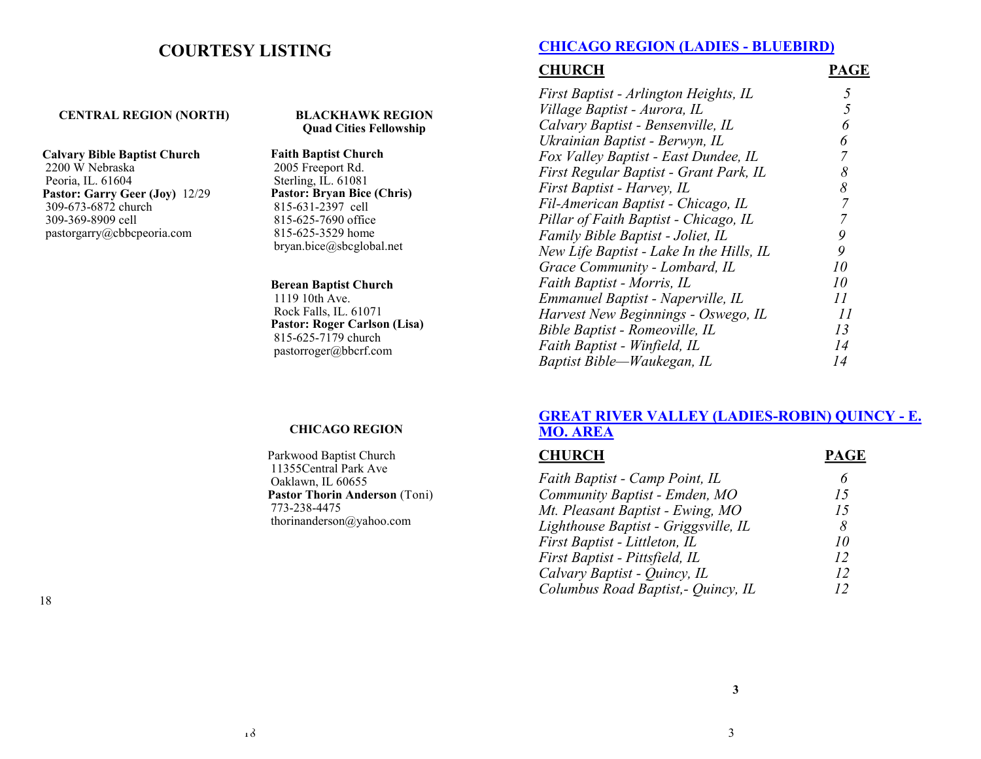# **COURTESY LISTING**

#### **CENTRAL REGION (NORTH)**

#### **Calvary Bible Baptist Church**

 2200 W Nebraska Peoria, IL. 61604 **Pastor: Garry Geer (Joy)** 12/29 309-673-6872 church 309-369-8909 cell pastorgarry@cbbcpeoria.com

#### **BLACKHAWK REGION Quad Cities Fellowship**

**Faith Baptist Church** 2005 Freeport Rd. Sterling, IL. 61081 **Pastor: Bryan Bice (Chris)** 815-631-2397 cell 815-625-7690 office 815-625-3529 home bryan.bice@sbcglobal.net

#### **Berean Baptist Church** 1119 10th Ave. Rock Falls, IL. 61071 **Pastor: Roger Carlson (Lisa)** 815-625-7179 church pastorroger@bbcrf.com

### **CHICAGO REGION (LADIES - BLUEBIRD)**

## **CHURCH PAGE**

| 6              |
|----------------|
| 6              |
|                |
| 8              |
| 8              |
| $\overline{7}$ |
| 7              |
| 9              |
| 9              |
| 10             |
| 10             |
| 11             |
| 11             |
| 13             |
| 14             |
| 14             |
|                |

#### **CHICAGO REGION**

Parkwood Baptist Church 11355Central Park Ave Oaklawn, IL 60655 **Pastor Thorin Anderson** (Toni) 773-238-4475 thorinanderson@yahoo.com

## **GREAT RIVER VALLEY (LADIES-ROBIN) QUINCY - E. MO. AREA**

| <b>CHURCH</b>                        | <b>PAGE</b> |
|--------------------------------------|-------------|
| Faith Baptist - Camp Point, IL       | 6           |
| Community Baptist - Emden, MO        | 15          |
| Mt. Pleasant Baptist - Ewing, MO     | 15          |
| Lighthouse Baptist - Griggsville, IL | 8           |
| First Baptist - Littleton, IL        | 10          |
| First Baptist - Pittsfield, IL       | 12          |
| Calvary Baptist - Quincy, IL         | 12          |
| Columbus Road Baptist,- Quincy, IL   | 12          |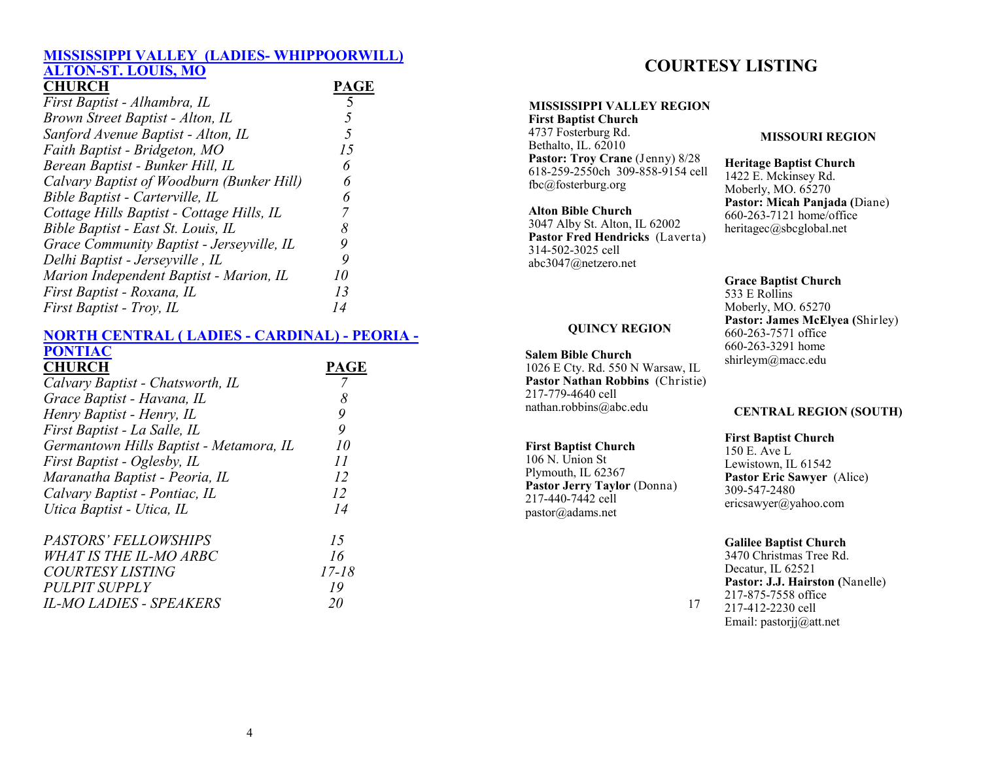## **MISSISSIPPI VALLEY (LADIES- WHIPPOORWILL)**

| <b>ALTON-ST. LOUIS, MO</b>                |      |
|-------------------------------------------|------|
| <b>CHURCH</b>                             | PAGE |
| First Baptist - Alhambra, IL              |      |
| Brown Street Baptist - Alton, IL          | 5    |
| Sanford Avenue Baptist - Alton, IL        | 5    |
| Faith Baptist - Bridgeton, MO             | 15   |
| Berean Baptist - Bunker Hill, IL          | 6    |
| Calvary Baptist of Woodburn (Bunker Hill) | 6    |
| Bible Baptist - Carterville, IL           | 6    |
| Cottage Hills Baptist - Cottage Hills, IL | 7    |
| Bible Baptist - East St. Louis, IL        | 8    |
| Grace Community Baptist - Jerseyville, IL | 9    |
| Delhi Baptist - Jerseyville, IL           | 9    |
| Marion Independent Baptist - Marion, IL   | 10   |
| First Baptist - Roxana, IL                | 13   |
| First Baptist - Troy, IL                  | 14   |

#### **NORTH CENTRAL ( LADIES - CARDINAL) - PEORIA - PONTIAC**

| <b>CHURCH</b>                           | PAGE      |
|-----------------------------------------|-----------|
| Calvary Baptist - Chatsworth, IL        |           |
| Grace Baptist - Havana, IL              | 8         |
| Henry Baptist - Henry, IL               | 9         |
| First Baptist - La Salle, IL            | 9         |
| Germantown Hills Baptist - Metamora, IL | 10        |
| First Baptist - Oglesby, IL             | 11        |
| Maranatha Baptist - Peoria, IL          | 12        |
| Calvary Baptist - Pontiac, IL           | 12        |
| Utica Baptist - Utica, IL               | 14        |
| <i>PASTORS' FELLOWSHIPS</i>             | 15        |
| <b>WHAT IS THE IL-MO ARBC</b>           | 16        |
| <b>COURTESY LISTING</b>                 | $17 - 18$ |
| PULPIT SUPPLY                           | 19        |
| IL-MO LADIES - SPEAKERS                 | 20        |
|                                         |           |

# **COURTESY LISTING**

#### **MISSISSIPPI VALLEY REGION**

**First Baptist Church** 4737 Fosterburg Rd. Bethalto, IL. 62010 Pastor: Troy Crane (Jenny) 8/28 618-259-2550ch 309-858-9154 cell fbc@fosterburg.org

**Alton Bible Church** 3047 Alby St. Alton, IL 62002 **Pastor Fred Hendricks** (Laverta) 314-502-3025 cell abc3047@netzero.net

**QUINCY REGION**

1026 E Cty. Rd. 550 N Warsaw, IL **Pastor Nathan Robbins** (Christie)

**Salem Bible Church**

217-779-4640 cell nathan.robbins@abc.edu

**First Baptist Church** 106 N. Union St Plymouth, IL 62367

217-440-7442 cell pastor@adams.net

Pastor Jerry Taylor (Donna)

17

## **MISSOURI REGION**

**Heritage Baptist Church**

1422 E. Mckinsey Rd. Moberly, MO. 65270 **Pastor: Micah Panjada (**Diane) 660-263-7121 home/office heritagec@sbcglobal.net

#### **Grace Baptist Church**

533 E Rollins Moberly, MO. 65270 **Pastor: James McElyea (**Shirley) 660-263-7571 office 660-263-3291 home shirleym@macc.edu

#### **CENTRAL REGION (SOUTH)**

#### **First Baptist Church**

150 E. Ave L Lewistown, IL 61542 **Pastor Eric Sawyer** (Alice) 309-547-2480 ericsawyer@yahoo.com

#### **Galilee Baptist Church**

3470 Christmas Tree Rd. Decatur, IL 62521 **Pastor: J.J. Hairston (**Nanelle) 217-875-7558 office 217-412-2230 cell Email: pastorjj@att.net

4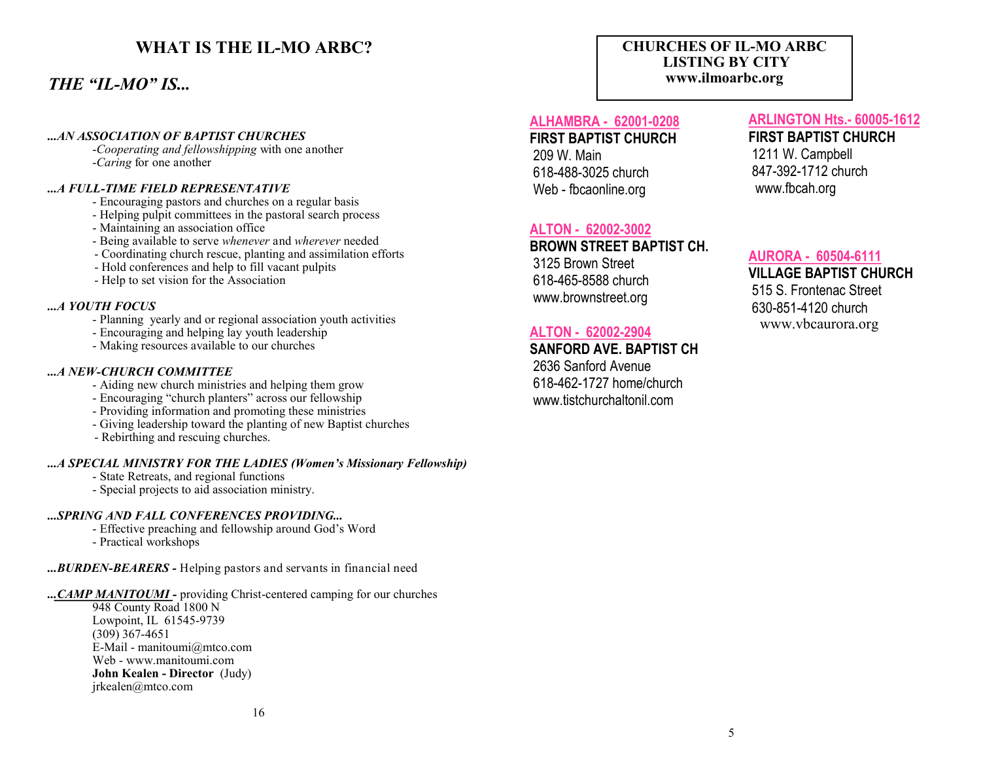# **WHAT IS THE IL-MO ARBC?**

## *THE "IL-MO" IS...*

### *...AN ASSOCIATION OF BAPTIST CHURCHES*

-*Cooperating and fellowshipping* with one another -*Caring* for one another

#### *...A FULL-TIME FIELD REPRESENTATIVE*

- Encouraging pastors and churches on a regular basis
- Helping pulpit committees in the pastoral search process
- Maintaining an association office
- Being available to serve *whenever* and *wherever* needed
- Coordinating church rescue, planting and assimilation efforts
- Hold conferences and help to fill vacant pulpits
- Help to set vision for the Association

#### *...A YOUTH FOCUS*

- Planning yearly and or regional association youth activities
- Encouraging and helping lay youth leadership
- Making resources available to our churches

#### *...A NEW-CHURCH COMMITTEE*

- Aiding new church ministries and helping them grow
- Encouraging "church planters" across our fellowship
- Providing information and promoting these ministries
- Giving leadership toward the planting of new Baptist churches
- Rebirthing and rescuing churches.

#### *...A SPECIAL MINISTRY FOR THE LADIES (Women's Missionary Fellowship)*

- State Retreats, and regional functions
- Special projects to aid association ministry.

#### *...SPRING AND FALL CONFERENCES PROVIDING...*

- Effective preaching and fellowship around God's Word
- Practical workshops

*...BURDEN-BEARERS -* Helping pastors and servants in financial need

*...CAMP MANITOUMI -* providing Christ-centered camping for our churches

948 County Road 1800 N Lowpoint, IL 61545-9739 (309) 367-4651 E-Mail - manitoumi@mtco.com Web - www.manitoumi.com **John Kealen - Director** (Judy) jrkealen@mtco.com

## **CHURCHES OF IL-MO ARBC LISTING BY CITY www.ilmoarbc.org**

## **ALHAMBRA - 62001-0208**

**FIRST BAPTIST CHURCH**

209 W. Main 618-488-3025 church Web - fbcaonline.org

#### **ALTON - 62002-3002**

**BROWN STREET BAPTIST CH.**

3125 Brown Street 618-465-8588 church www.brownstreet.org

### **ALTON - 62002-2904**

# **SANFORD AVE. BAPTIST CH**

2636 Sanford Avenue 618-462-1727 home/church www.tistchurchaltonil.com

#### **ARLINGTON Hts.- 60005-1612**

**FIRST BAPTIST CHURCH** 1211 W. Campbell 847-392-1712 church www.fbcah.org

### **AURORA - 60504-6111**

**VILLAGE BAPTIST CHURCH** 515 S. Frontenac Street 630-851-4120 church www.vbcaurora.org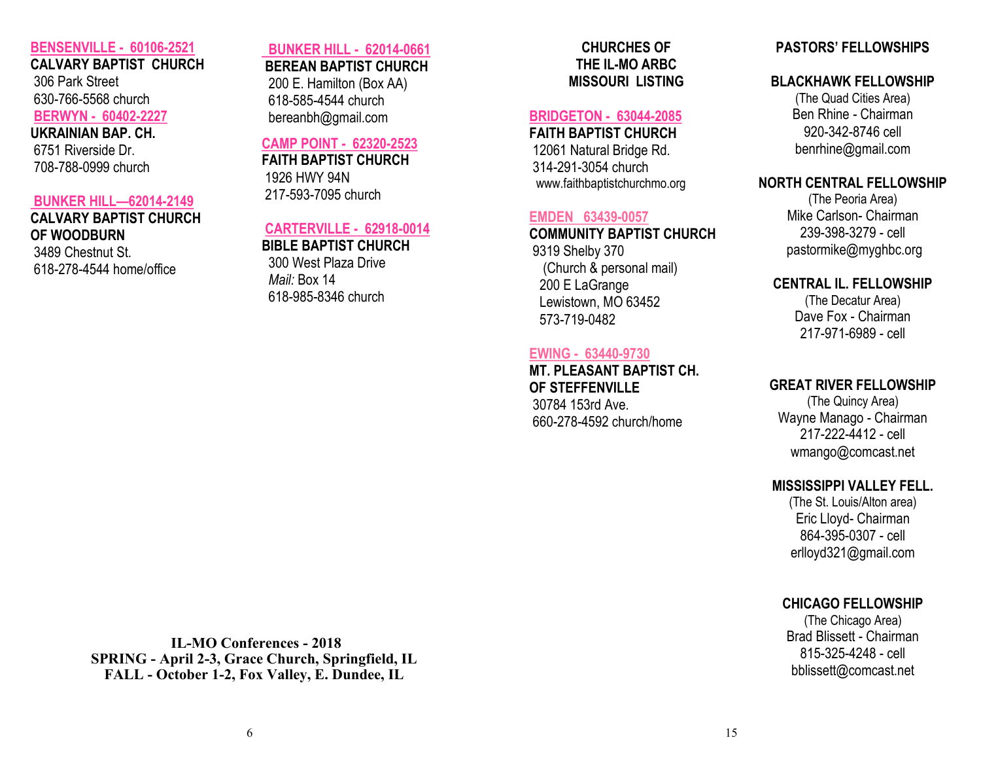## **BENSENVILLE - 60106-2521**

**CALVARY BAPTIST CHURCH**

306 Park Street 630-766-5568 church **BERWYN - 60402-2227**

### **UKRAINIAN BAP. CH.**

6751 Riverside Dr. 708-788-0999 church

## **BUNKER HILL—62014-2149**

### **CALVARY BAPTIST CHURCH OF WOODBURN** 3489 Chestnut St. 618-278-4544 home/office

## **BUNKER HILL - 62014-0661**

**BEREAN BAPTIST CHURCH**

 200 E. Hamilton (Box AA) 618-585-4544 church bereanbh@gmail.com

### **CAMP POINT - 62320-2523**

**FAITH BAPTIST CHURCH** 1926 HWY 94N 217-593-7095 church

### **CARTERVILLE - 62918-0014**

**BIBLE BAPTIST CHURCH** 300 West Plaza Drive  *Mail:* Box 14

618-985-8346 church

## **CHURCHES OF THE IL-MO ARBC MISSOURI LISTING**

### **BRIDGETON - 63044-2085**

**FAITH BAPTIST CHURCH** 12061 Natural Bridge Rd. 314-291-3054 church www.faithbaptistchurchmo.org

### **EMDEN 63439-0057**

**COMMUNITY BAPTIST CHURCH** 9319 Shelby 370

 (Church & personal mail) 200 E LaGrange Lewistown, MO 63452 573-719-0482

#### **EWING - 63440-9730**

**MT. PLEASANT BAPTIST CH. OF STEFFENVILLE** 30784 153rd Ave. 660-278-4592 church/home

## **PASTORS' FELLOWSHIPS**

### **BLACKHAWK FELLOWSHIP**

(The Quad Cities Area) Ben Rhine - Chairman 920-342-8746 cell benrhine@gmail.com

## **NORTH CENTRAL FELLOWSHIP**

(The Peoria Area) Mike Carlson- Chairman 239-398-3279 - cell pastormike@myghbc.org

## **CENTRAL IL. FELLOWSHIP**

(The Decatur Area) Dave Fox - Chairman 217-971-6989 - cell

## **GREAT RIVER FELLOWSHIP**

(The Quincy Area) Wayne Manago - Chairman 217-222-4412 - cell wmango@comcast.net

## **MISSISSIPPI VALLEY FELL.**

(The St. Louis/Alton area) Eric Lloyd- Chairman 864-395-0307 - cell erlloyd321@gmail.com

### **CHICAGO FELLOWSHIP**

(The Chicago Area) Brad Blissett - Chairman 815-325-4248 - cell bblissett@comcast.net

**IL-MO Conferences - 2018 SPRING - April 2-3, Grace Church, Springfield, IL FALL - October 1-2, Fox Valley, E. Dundee, IL**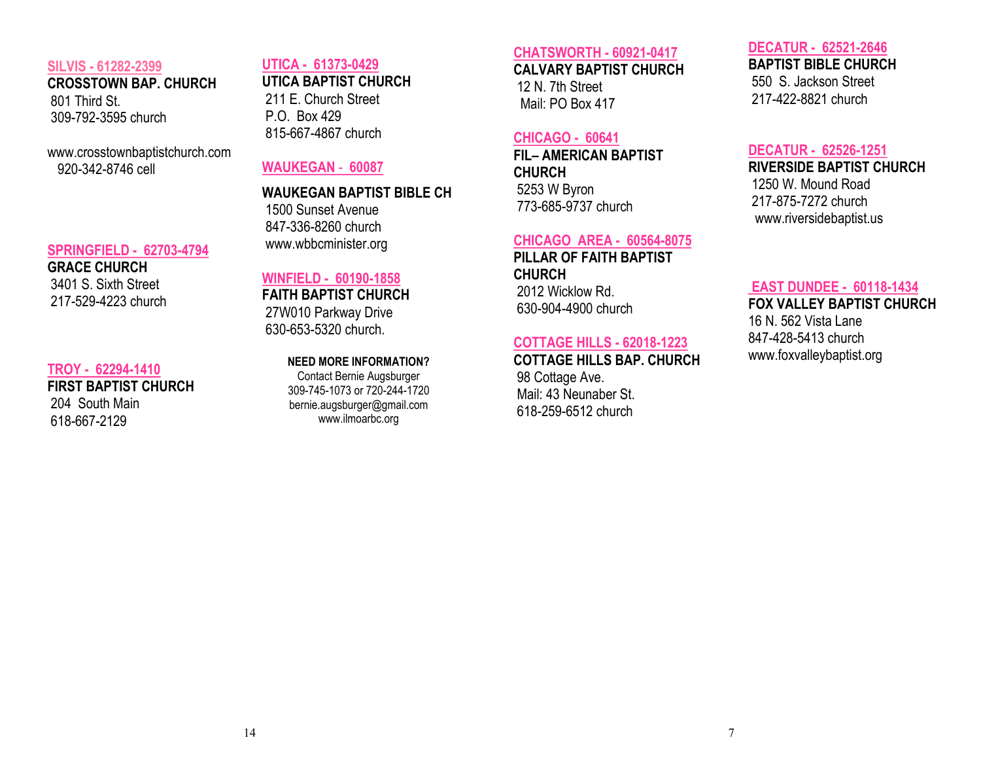#### **SILVIS - 61282-2399**

**CROSSTOWN BAP. CHURCH** 801 Third St. 309-792-3595 church

www.crosstownbaptistchurch.com 920-342-8746 cell

#### **SPRINGFIELD - 62703-4794**

**GRACE CHURCH** 3401 S. Sixth Street 217-529-4223 church

#### **TROY - 62294-1410**

**FIRST BAPTIST CHURCH** 204 South Main 618-667-2129

#### **UTICA - 61373-0429**

**UTICA BAPTIST CHURCH** 211 E. Church Street P.O. Box 429 815-667-4867 church

### **WAUKEGAN** - **60087**

# **WAUKEGAN BAPTIST BIBLE CH**

1500 Sunset Avenue 847-336-8260 church www.wbbcminister.org

## **WINFIELD - 60190-1858**

### **FAITH BAPTIST CHURCH**

27W010 Parkway Drive 630-653-5320 church.

#### **NEED MORE INFORMATION?**

Contact Bernie Augsburger 309-745-1073 or 720-244-1720 bernie.augsburger@gmail.com www.ilmoarbc.org

## **CHATSWORTH - 60921-0417**

## **CALVARY BAPTIST CHURCH** 12 N. 7th Street

Mail: PO Box 417

### **CHICAGO - 60641**

**FIL– AMERICAN BAPTIST CHURCH** 5253 W Byron 773-685-9737 church

#### **CHICAGO AREA - 60564-8075**

**PILLAR OF FAITH BAPTIST CHURCH** 2012 Wicklow Rd. 630-904-4900 church

## **COTTAGE HILLS - 62018-1223**

**COTTAGE HILLS BAP. CHURCH** 98 Cottage Ave. Mail: 43 Neunaber St. 618-259-6512 church

## **DECATUR - 62521-2646 BAPTIST BIBLE CHURCH** 550 S. Jackson Street 217-422-8821 church

#### **DECATUR - 62526-1251**

**RIVERSIDE BAPTIST CHURCH** 1250 W. Mound Road 217-875-7272 church

www.riversidebaptist.us

### **EAST DUNDEE - 60118-1434**

**FOX VALLEY BAPTIST CHURCH**

16 N. 562 Vista Lane 847-428-5413 church www.foxvalleybaptist.org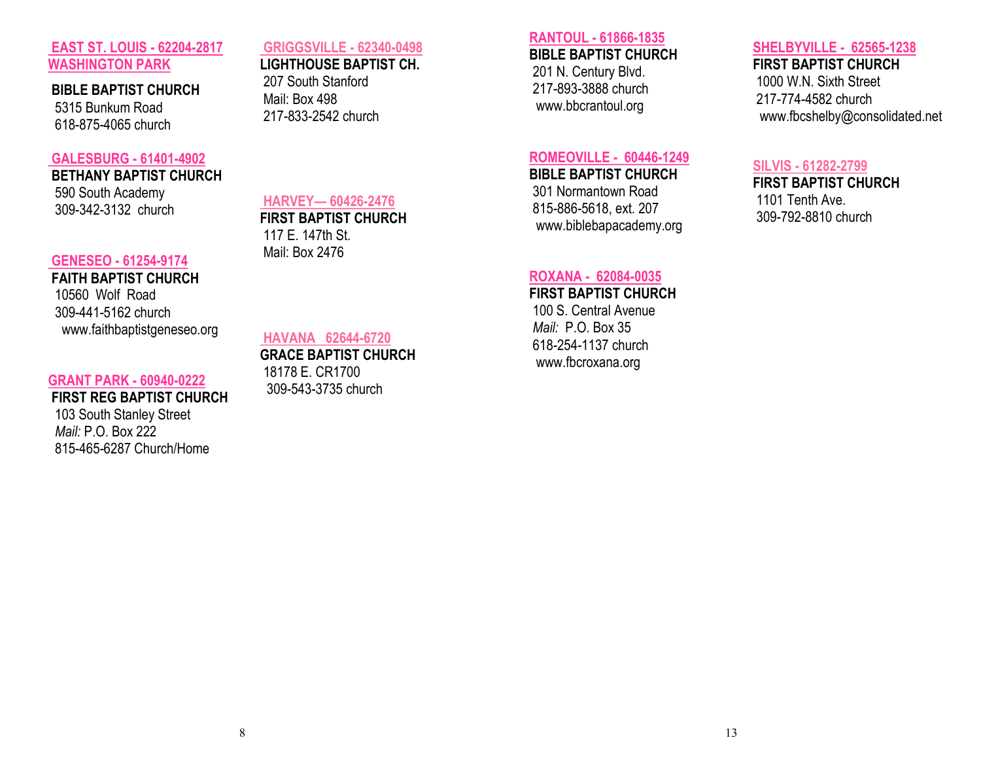## **EAST ST. LOUIS - 62204-2817 WASHINGTON PARK**

**BIBLE BAPTIST CHURCH** 5315 Bunkum Road 618-875-4065 church

#### **GALESBURG - 61401-4902**

**BETHANY BAPTIST CHURCH** 590 South Academy 309-342-3132 church

## **GENESEO - 61254-9174**

**FAITH BAPTIST CHURCH** 10560 Wolf Road 309-441-5162 church

www.faithbaptistgeneseo.org

### **GRANT PARK - 60940-0222**

**FIRST REG BAPTIST CHURCH** 103 South Stanley Street  *Mail:* P.O. Box 222 815-465-6287 Church/Home

# **GRIGGSVILLE - 62340-0498**

### **LIGHTHOUSE BAPTIST CH.** 207 South Stanford

Mail: Box 498 217-833-2542 church

**HARVEY— 60426-2476 FIRST BAPTIST CHURCH**

117 E. 147th St. Mail: Box 2476

# **RANTOUL - 61866-1835**

**BIBLE BAPTIST CHURCH** 201 N. Century Blvd.

217-893-3888 church www.bbcrantoul.org

## **ROMEOVILLE - 60446-1249**

#### **BIBLE BAPTIST CHURCH**

301 Normantown Road 815-886-5618, ext. 207 www.biblebapacademy.org

### **ROXANA - 62084-0035**

**FIRST BAPTIST CHURCH** 100 S. Central Avenue *Mail:* P.O. Box 35 618-254-1137 church www.fbcroxana.org

## **SHELBYVILLE - 62565-1238**

### **FIRST BAPTIST CHURCH** 1000 W.N. Sixth Street

217-774-4582 church www.fbcshelby@consolidated.net

## **SILVIS - 61282-2799**

**FIRST BAPTIST CHURCH** 1101 Tenth Ave. 309-792-8810 church

#### **HAVANA 62644-6720 GRACE BAPTIST CHURCH**

18178 E. CR1700 309-543-3735 church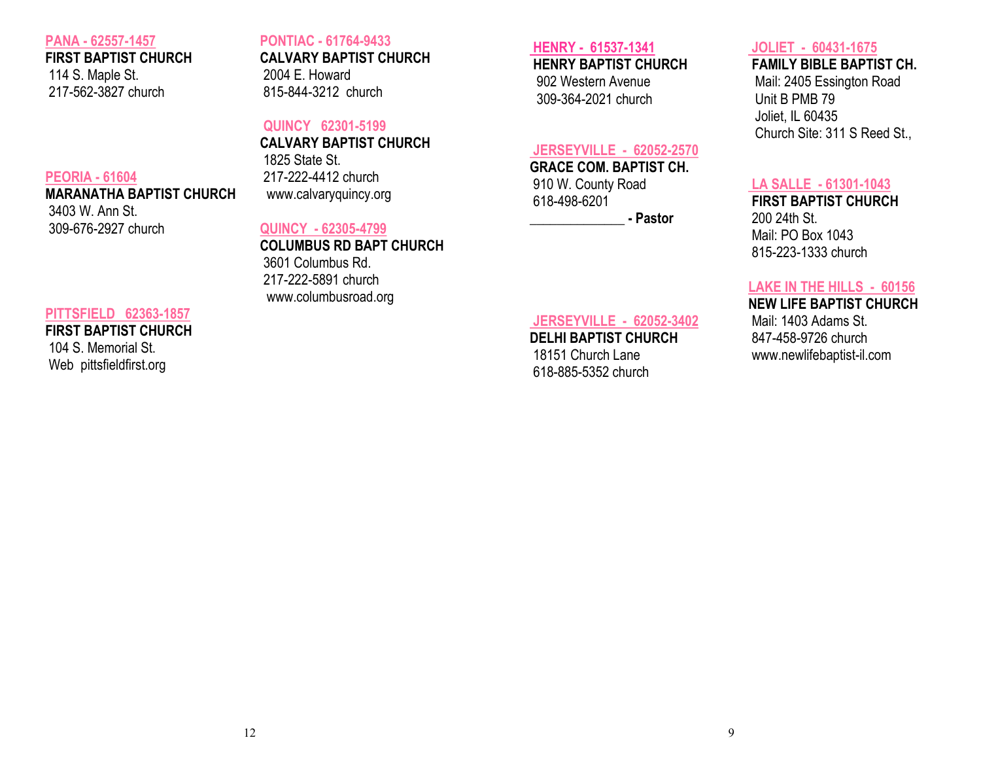#### **PANA - 62557-1457**

**FIRST BAPTIST CHURCH** 114 S. Maple St. 217-562-3827 church

#### **PEORIA - 61604**

**MARANATHA BAPTIST CHURCH** 3403 W. Ann St. 309-676-2927 church

### **PITTSFIELD 62363-1857**

**FIRST BAPTIST CHURCH** 104 S. Memorial St. Web pittsfieldfirst.org

#### **PONTIAC - 61764-9433**

**CALVARY BAPTIST CHURCH** 2004 E. Howard 815-844-3212 church

## **QUINCY 62301-5199**

**CALVARY BAPTIST CHURCH** 1825 State St. 217-222-4412 church www.calvaryquincy.org

## **QUINCY - 62305-4799**

**COLUMBUS RD BAPT CHURCH** 3601 Columbus Rd. 217-222-5891 church www.columbusroad.org

## **HENRY - 61537-1341**

**HENRY BAPTIST CHURCH**

 902 Western Avenue 309-364-2021 church

## **JERSEYVILLE - 62052-2570**

**GRACE COM. BAPTIST CH.** 910 W. County Road 618-498-6201

**\_\_\_\_\_\_\_\_\_\_\_\_\_\_ - Pastor** 

## **JOLIET - 60431-1675**

**FAMILY BIBLE BAPTIST CH.**

 Mail: 2405 Essington Road Unit B PMB 79 Joliet, IL 60435 Church Site: 311 S Reed St.,

## **LA SALLE - 61301-1043**

**FIRST BAPTIST CHURCH** 200 24th St.

Mail: PO Box 1043 815-223-1333 church

## **LAKE IN THE HILLS - 60156**

**NEW LIFE BAPTIST CHURCH**

Mail: 1403 Adams St. 847-458-9726 church www.newlifebaptist-il.com

## **JERSEYVILLE - 62052-3402**

**DELHI BAPTIST CHURCH** 18151 Church Lane 618-885-5352 church